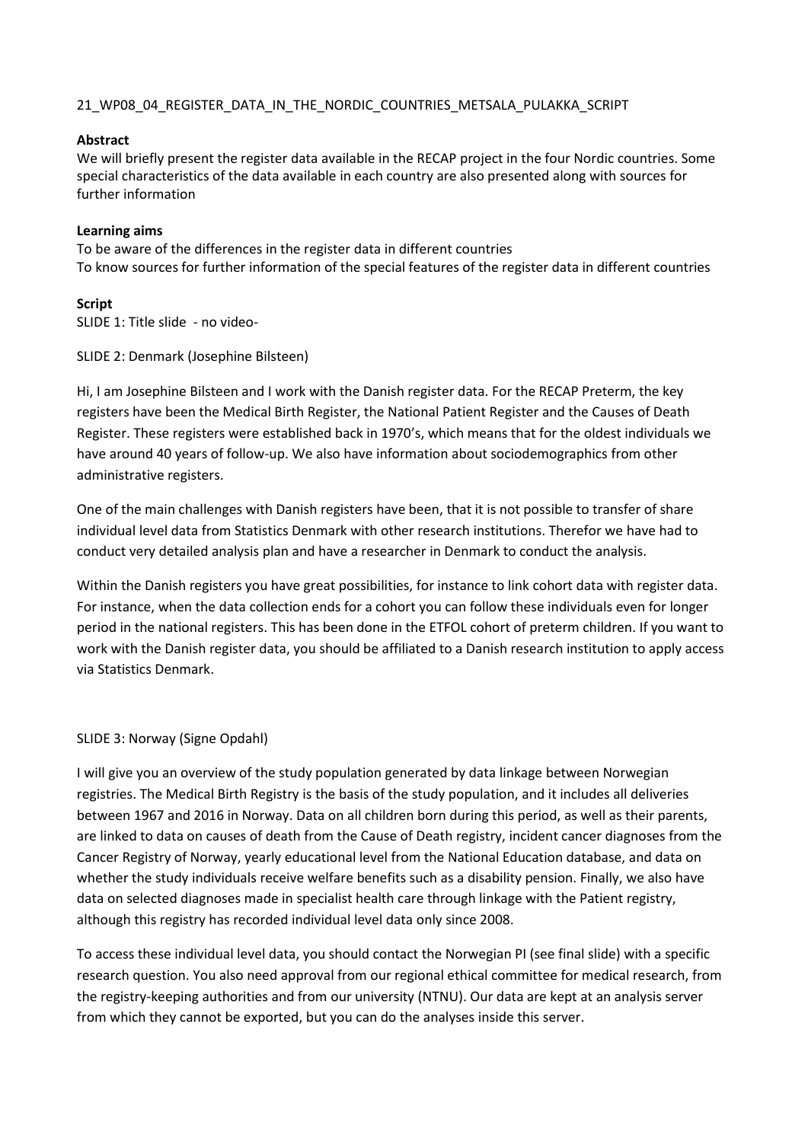# 21 WP08 04 REGISTER DATA IN THE NORDIC COUNTRIES METSALA PULAKKA SCRIPT

## **Abstract**

We will briefly present the register data available in the RECAP project in the four Nordic countries. Some special characteristics of the data available in each country are also presented along with sources for further information

#### **Learning aims**

To be aware of the differences in the register data in different countries To know sources for further information of the special features of the register data in different countries

#### **Script**

SLIDE 1: Title slide - no video-

SLIDE 2: Denmark (Josephine Bilsteen)

Hi, I am Josephine Bilsteen and I work with the Danish register data. For the RECAP Preterm, the key registers have been the Medical Birth Register, the National Patient Register and the Causes of Death Register. These registers were established back in 1970's, which means that for the oldest individuals we have around 40 years of follow-up. We also have information about sociodemographics from other administrative registers.

One of the main challenges with Danish registers have been, that it is not possible to transfer of share individual level data from Statistics Denmark with other research institutions. Therefor we have had to conduct very detailed analysis plan and have a researcher in Denmark to conduct the analysis.

Within the Danish registers you have great possibilities, for instance to link cohort data with register data. For instance, when the data collection ends for a cohort you can follow these individuals even for longer period in the national registers. This has been done in the ETFOL cohort of preterm children. If you want to work with the Danish register data, you should be affiliated to a Danish research institution to apply access via Statistics Denmark.

## SLIDE 3: Norway (Signe Opdahl)

I will give you an overview of the study population generated by data linkage between Norwegian registries. The Medical Birth Registry is the basis of the study population, and it includes all deliveries between 1967 and 2016 in Norway. Data on all children born during this period, as well as their parents, are linked to data on causes of death from the Cause of Death registry, incident cancer diagnoses from the Cancer Registry of Norway, yearly educational level from the National Education database, and data on whether the study individuals receive welfare benefits such as a disability pension. Finally, we also have data on selected diagnoses made in specialist health care through linkage with the Patient registry, although this registry has recorded individual level data only since 2008.

To access these individual level data, you should contact the Norwegian PI (see final slide) with a specific research question. You also need approval from our regional ethical committee for medical research, from the registry-keeping authorities and from our university (NTNU). Our data are kept at an analysis server from which they cannot be exported, but you can do the analyses inside this server.